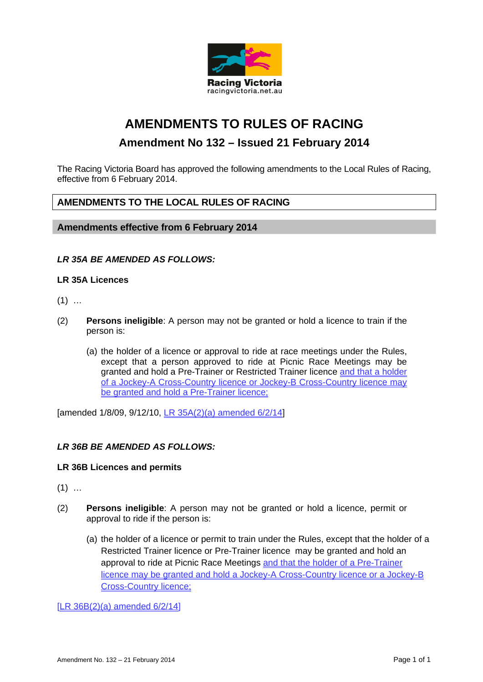

# **AMENDMENTS TO RULES OF RACING**

## **Amendment No 132 – Issued 21 February 2014**

The Racing Victoria Board has approved the following amendments to the Local Rules of Racing, effective from 6 February 2014.

### **AMENDMENTS TO THE LOCAL RULES OF RACING**

**Amendments effective from 6 February 2014** 

#### *LR 35A BE AMENDED AS FOLLOWS:*

#### **LR 35A Licences**

- $(1)$  …
- (2) **Persons ineligible**: A person may not be granted or hold a licence to train if the person is:
	- (a) the holder of a licence or approval to ride at race meetings under the Rules, except that a person approved to ride at Picnic Race Meetings may be granted and hold a Pre-Trainer or Restricted Trainer licence and that a holder of a Jockey-A Cross-Country licence or Jockey-B Cross-Country licence may be granted and hold a Pre-Trainer licence;

[amended 1/8/09, 9/12/10, LR 35A(2)(a) amended 6/2/14]

#### *LR 36B BE AMENDED AS FOLLOWS:*

#### **LR 36B Licences and permits**

- $(1)$  ...
- (2) **Persons ineligible**: A person may not be granted or hold a licence, permit or approval to ride if the person is:
	- (a) the holder of a licence or permit to train under the Rules, except that the holder of a Restricted Trainer licence or Pre-Trainer licence may be granted and hold an approval to ride at Picnic Race Meetings and that the holder of a Pre-Trainer licence may be granted and hold a Jockey-A Cross-Country licence or a Jockey-B Cross-Country licence;

[LR 36B(2)(a) amended 6/2/14]